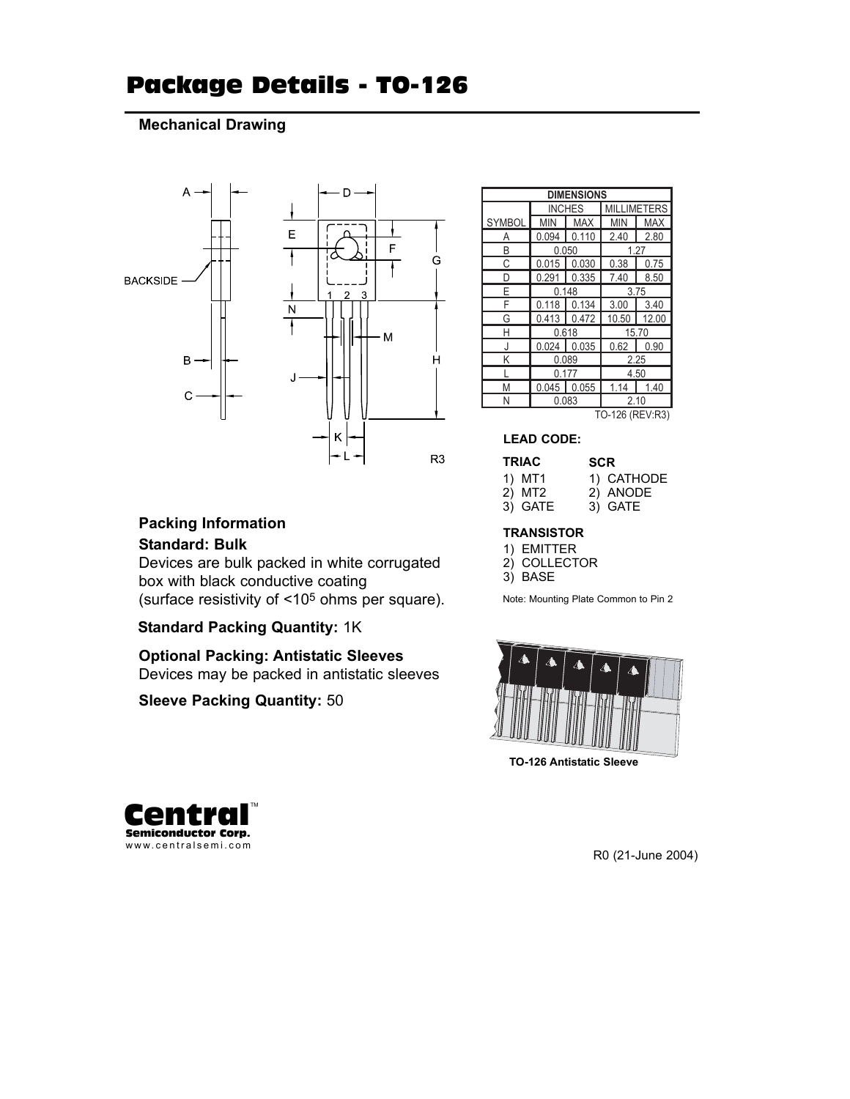# Package Details - TO-126

### **Mechanical Drawing**



| <b>DIMENSIONS</b> |               |            |                    |            |  |  |  |
|-------------------|---------------|------------|--------------------|------------|--|--|--|
|                   | <b>INCHES</b> |            | <b>MILLIMETERS</b> |            |  |  |  |
| SYMBOL            | <b>MIN</b>    | <b>MAX</b> | <b>MIN</b>         | <b>MAX</b> |  |  |  |
| А                 | 0.094         | 0.110      | 2.40               | 2.80       |  |  |  |
| R                 |               | 0.050      | 1.27               |            |  |  |  |
| C                 | 0.015         | 0.030      | 0.38               | 0.75       |  |  |  |
| D                 | 0.291         | 0.335      | 7.40               | 8.50       |  |  |  |
| E                 |               | 0.148      | 3.75               |            |  |  |  |
| F                 | 0.118         | 0.134      | 3.00               | 3.40       |  |  |  |
| G                 | 0.413         | 0.472      | 10.50              | 12.00      |  |  |  |
| Н                 | 0.618         |            | 15.70              |            |  |  |  |
| J                 | 0.024         | 0.035      | 0.62               | 0.90       |  |  |  |
| Κ                 | 0.089         |            | 2.25               |            |  |  |  |
|                   | 0.177         |            | 4.50               |            |  |  |  |
| M                 | 0.045         | 0.055      | 1.14               | 1.40       |  |  |  |
| Ν                 |               | 0.083      | 2.10               |            |  |  |  |
| TO-126 (REV:R3)   |               |            |                    |            |  |  |  |

#### **LEAD CODE:**

| <b>TRIAC</b> | <b>SCR</b> |  |  |  |
|--------------|------------|--|--|--|
| 1) MT1       | 1) CATHODE |  |  |  |
| 2) MT2       | 2) ANODE   |  |  |  |
| 3) GATE      | 3) GATE    |  |  |  |

#### **TRANSISTOR**

| <b>EMITTER</b> |
|----------------|
|                |

2) COLLECTOR

3) BASE

Note: Mounting Plate Common to Pin 2



**TO-126 Antistatic Sleeve**



R0 (21-June 2004)

## **Packing Information**

### **Standard: Bulk**

Devices are bulk packed in white corrugated box with black conductive coating (surface resistivity of <105 ohms per square).

### **Standard Packing Quantity:** 1K

**Optional Packing: Antistatic Sleeves** Devices may be packed in antistatic sleeves

### **Sleeve Packing Quantity:** 50